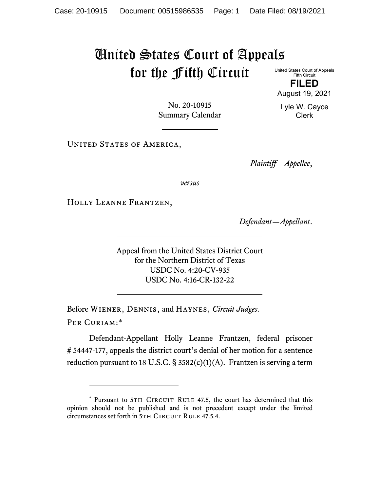## United States Court of Appeals for the Fifth Circuit

United States Court of Appeals Fifth Circuit

**FILED** August 19, 2021

Lyle W. Cayce Clerk

No. 20-10915 Summary Calendar

UNITED STATES OF AMERICA,

*Plaintiff—Appellee*,

*versus*

Holly Leanne Frantzen,

*Defendant—Appellant*.

Appeal from the United States District Court for the Northern District of Texas USDC No. 4:20-CV-935 USDC No. 4:16-CR-132-22

Before Wiener, Dennis, and Haynes, *Circuit Judges*. Per Curiam:[\\*](#page-0-0)

Defendant-Appellant Holly Leanne Frantzen, federal prisoner # 54447-177, appeals the district court's denial of her motion for a sentence reduction pursuant to 18 U.S.C.  $\S$  3582(c)(1)(A). Frantzen is serving a term

<span id="page-0-0"></span><sup>\*</sup> Pursuant to 5TH CIRCUIT RULE 47.5, the court has determined that this opinion should not be published and is not precedent except under the limited circumstances set forth in 5TH CIRCUIT RULE 47.5.4.